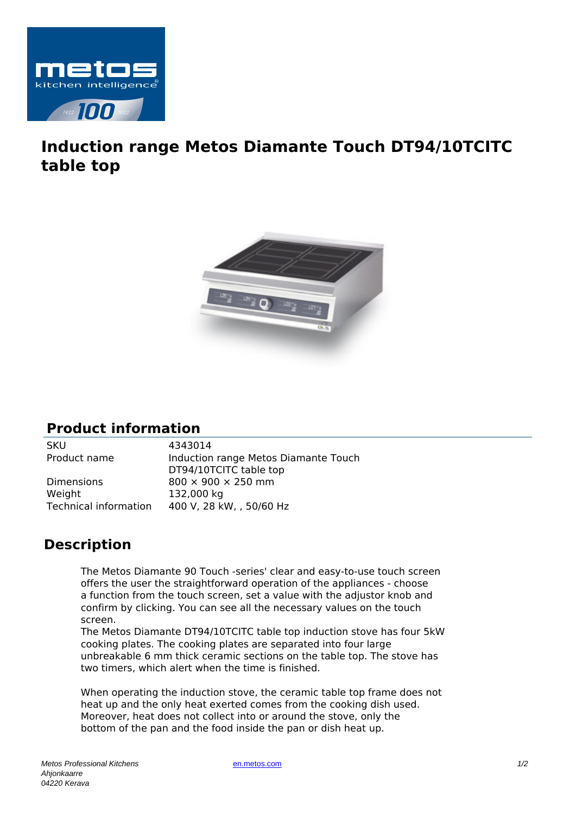

## **Induction range Metos Diamante Touch DT94/10TCITC table top**



## **Product information**

SKU 4343014

Product name Induction range Metos Diamante Touch DT94/10TCITC table top Dimensions 800  $\times$  900  $\times$  250 mm Weight 132,000 kg Technical information 400 V, 28 kW, , 50/60 Hz

## **Description**

The Metos Diamante 90 Touch -series' clear and easy-to-use touch screen offers the user the straightforward operation of the appliances - choose a function from the touch screen, set a value with the adjustor knob and confirm by clicking. You can see all the necessary values on the touch screen.

The Metos Diamante DT94/10TCITC table top induction stove has four 5kW cooking plates. The cooking plates are separated into four large unbreakable 6 mm thick ceramic sections on the table top. The stove has two timers, which alert when the time is finished.

When operating the induction stove, the ceramic table top frame does not heat up and the only heat exerted comes from the cooking dish used. Moreover, heat does not collect into or around the stove, only the bottom of the pan and the food inside the pan or dish heat up.